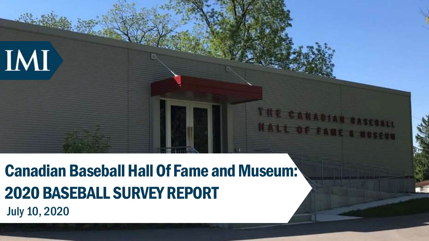July 10, 2020 Canadian Baseball Hall Of Fame and Museum: 2020 BASEBALL SURVEY REPORT

THE CANA

**HALL OF FAMI**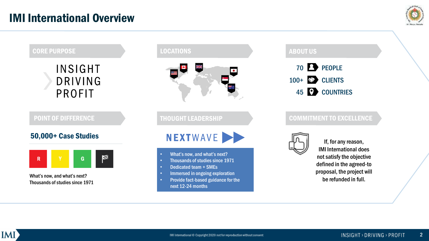

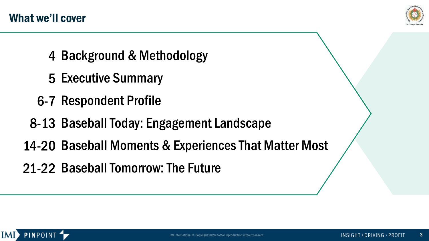

- 4 Background & Methodology
- 5 Executive Summary
- 6-7 Respondent Profile
- 8-13 Baseball Today: Engagement Landscape
- 14-20 Baseball Moments & Experiences That Matter Most
- 21-22 Baseball Tomorrow: The Future

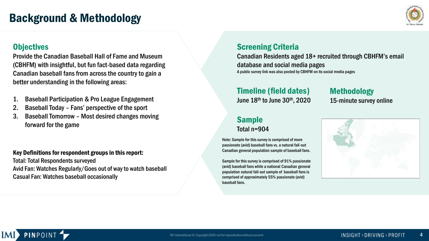### Background & Methodology



#### **Objectives**

Provide the Canadian Baseball Hall of Fame and Museum (CBHFM) with insightful, but fun fact-based data regarding Canadian baseball fans from across the country to gain a better understanding in the following areas:

- 1. Baseball Participation & Pro League Engagement
- 2. Baseball Today Fans' perspective of the sport
- 3. Baseball Tomorrow Most desired changes moving forward for the game

#### Key Definitions for respondent groups in this report:

Total: Total Respondents surveyed Avid Fan: Watches Regularly/Goes out of way to watch baseball Casual Fan: Watches baseball occasionally

#### Screening Criteria

Canadian Residents aged 18+ recruited through CBHFM's email database and social media pages A public survey link was also posted by CBHFM on its social media pages

#### Timeline (field dates)

June 18th to June 30th, 2020

#### Sample Total n=904

Note: Sample for this survey is comprised of more passionate (avid) baseball fans vs. a natural fall-out Canadian general population sample of baseball fans.

Sample for this survey is comprised of 91% passionate (avid) baseball fans while a national Canadian general population natural fall-out sample of baseball fans is comprised of approximately 55% passionate (avid) baseball fans.

Methodology 15-minute survey online



#### **PINPOINT**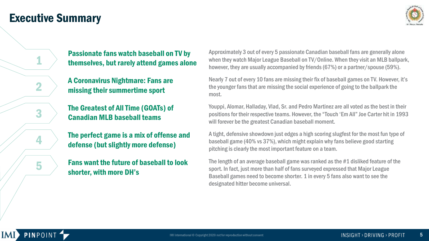### Executive Summary

1

2

3

4

5



Passionate fans watch baseball on TV by themselves, but rarely attend games alone

A Coronavirus Nightmare: Fans are missing their summertime sport

The Greatest of All Time (GOATs) of Canadian MLB baseball teams

The perfect game is a mix of offense and defense (but slightly more defense)

Fans want the future of baseball to look shorter, with more DH's

Approximately 3 out of every 5 passionate Canadian baseball fans are generally alone when they watch Major League Baseball on TV/Online. When they visit an MLB ballpark, however, they are usually accompanied by friends (67%) or a partner/spouse (59%).

Nearly 7 out of every 10 fans are missing their fix of baseball games on TV. However, it's the younger fans that are missing the social experience of going to the ballpark the most.

Youppi, Alomar, Halladay, Vlad, Sr. and Pedro Martinez are all voted as the best in their positions for their respective teams. However, the "Touch 'Em All" Joe Carter hit in 1993 will forever be the greatest Canadian baseball moment.

A tight, defensive showdown just edges a high scoring slugfest for the most fun type of baseball game (40% vs 37%), which might explain why fans believe good starting pitching is clearly the most important feature on a team.

The length of an average baseball game was ranked as the #1 disliked feature of the sport. In fact, just more than half of fans surveyed expressed that Major League Baseball games need to become shorter. 1 in every 5 fans also want to see the designated hitter become universal.

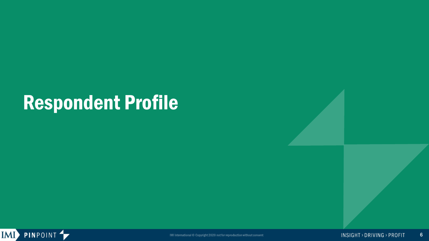# Respondent Profile

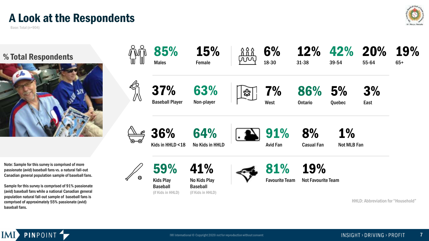### A Look at the Respondents

Base: Total (n=904)







Note: Sample for this survey is comprised of more passionate (avid) baseball fans vs. a natural fall-out Canadian general population sample of baseball fans.

Sample for this survey is comprised of 91% passionate (avid) baseball fans while a national Canadian general population natural fall-out sample of baseball fans is comprised of approximately 55% passionate (avid) baseball fans.

**PINPOINT** 

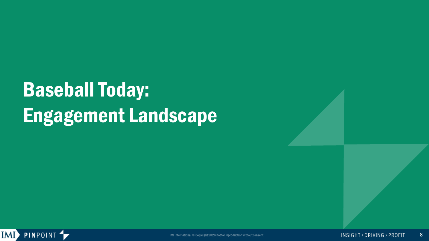# Baseball Today: Engagement Landscape

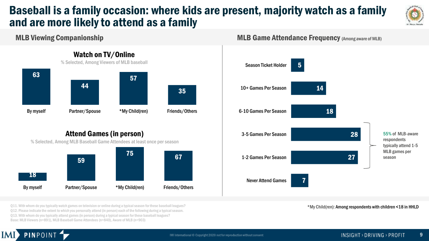### Baseball is a family occasion: where kids are present, majority watch as a family and are more likely to attend as a family



#### MLB Viewing Companionship



**MLB Game Attendance Frequency (Among aware of MLB)** 



\*My Child(ren): Among respondents with children <18 in HHLD

Q11. With whom do you typically watch games on television or online during a typical season for these baseball leagues? Q12. Please indicate the extent to which you personally attend (in person) each of the following during a typical season. Q13. With whom do you typically attend games (in person) during a typical season for these baseball leagues? Base: MLB Viewers (n=891), MLB Baseball Game Attendees (n=840), Aware of MLB (n=903)

By myself **Partner/Spouse** \*My Child(ren) Friends/Others

#### **PINPOINT** IMI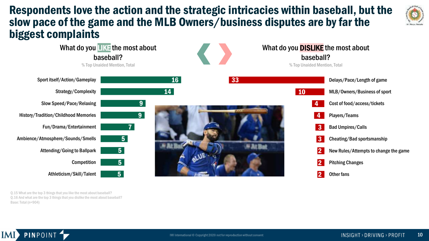### Respondents love the action and the strategic intricacies within baseball, but the slow pace of the game and the MLB Owners/business disputes are by far the biggest complaints





Q.15 What are the top 3 things that you like the most about baseball? Q.16 And what are the top 3 things that you dislike the most about baseball? Base: Total (n=904)

**PINPOINT**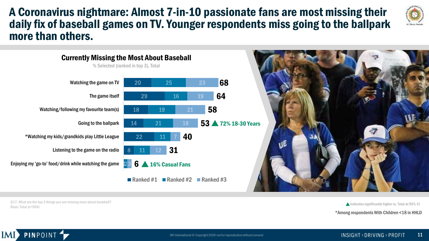### A Coronavirus nightmare: Almost 7-in-10 passionate fans are most missing their daily fix of baseball games on TV. Younger respondents miss going to the ballpark more than others.





Q17. What are the top 3 things you are missing most about baseball? Base: Total (n=904)

**PINPOINT** 

IMI

 $\triangle$  Indicates significantly higher vs. Total at 95% CI

\*Among respondents With Children <18 in HHLD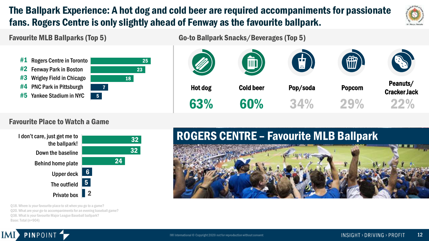### The Ballpark Experience: A hot dog and cold beer are required accompaniments for passionate fans. Rogers Centre is only slightly ahead of Fenway as the favourite ballpark.



#### Favourite MLB Ballparks (Top 5)

Go-to Ballpark Snacks/Beverages (Top 5)



#### Favourite Place to Watch a Game



Q18. Where is your favourite place to sit when you go to a game? Q20. What are your go-to accompaniments for an evening baseball game? Q38. What is your favourite Major League Baseball ballpark? Base: Total (n=904)

**PINPOINT** 

IMI

### ROGERS CENTRE – Favourite MLB Ballpark

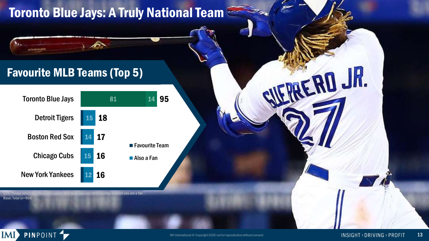## Toronto Blue Jays: A Truly National Team

### Favourite MLB Teams (Top 5)



e current MLB team and any other team(s) of which you are a fan Base: Total (n=904)



Linf #134 0354390

ERD JR.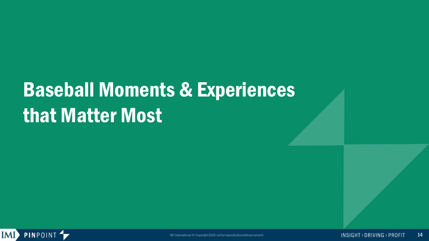# Baseball Moments & Experiences that Matter Most



IMI International © Copyright 2020 not for reproduction without consent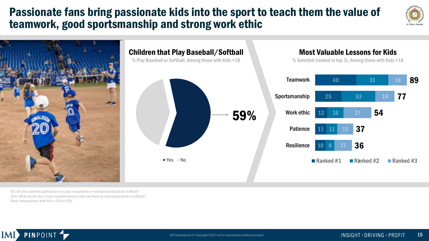### Passionate fans bring passionate kids into the sport to teach them the value of teamwork, good sportsmanship and strong work ethic





Q3. Do your children participate in or play competitive or recreational baseball/softball? Q19. What are the top 3 most valuable lessons kids can learn by playing baseball or softball? Base: Among those with Kids <18 (n=326)

PINPOINT<sup>4</sup>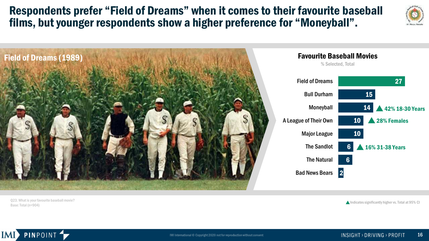Respondents prefer "Field of Dreams" when it comes to their favourite baseball films, but younger respondents show a higher preference for "Moneyball".

10 10 6 6 2 Field of Dreams Bull Durham Moneyball A League of Their Own Major League The Sandlot The Natural Bad News Bears Favourite Baseball Movies % Selected, Total Field of Dreams (1989)

Q23. What is your favourite baseball movie? Base: Total (n=904)

PINPOINT<sup>4</sup>

IMI

 $\triangle$  Indicates significantly higher vs. Total at 95% CI



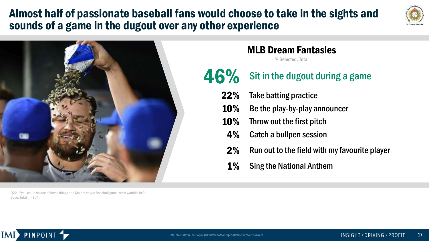### Almost half of passionate baseball fans would choose to take in the sights and sounds of a game in the dugout over any other experience





#### Q22. If you could do one of these things at a Major League Baseball game, what would it be? Base: Total (n=904)

### MLB Dream Fantasies

% Selected, Total

## $46\%$  Sit in the dugout during a game

- 22% Take batting practice
- 10% Be the play-by-play announcer
- 10% Throw out the first pitch
	- 4% Catch a bullpen session
	- 2% Run out to the field with my favourite player
	- 1% Sing the National Anthem

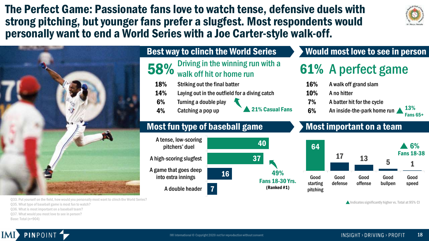The Perfect Game: Passionate fans love to watch tense, defensive duels with strong pitching, but younger fans prefer a slugfest. Most respondents would personally want to end a World Series with a Joe Carter-style walk-off.



13% Fans 65+



Q33. Put yourself on the field, how would you personally most want to clinch the World Series? Q35. What type of baseball game is most fun to watch? Q36. What is most important on a baseball team? Q37. What would you most love to see in person? Base: Total (n=904)

#### Best way to clinch the World Series

- $58\%$  Driving in the winning run with a walk off hit or home run
	- 18% Striking out the final batter
	- 14% Laying out in the outfield for a diving catch
	- 6% Turning a double play
	- 4% Catching a pop up

### 21% Casual Fans

49% Fans 18-30 Yrs. (Ranked #1)

40

#### Most fun type of baseball game



### Most important on a team

6% An inside-the-park home run

61% A perfect game

Would most love to see in person

16% A walk off grand slam

7% A batter hit for the cycle

10% A no hitter



 $\triangle$  Indicates significantly higher vs. Total at 95% CI

#### **PINPOINT** IMI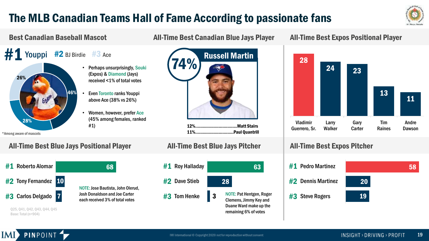### The MLB Canadian Teams Hall of Fame According to passionate fans



#### Best Canadian Baseball Mascot All-Time Best Canadian Blue Jays Player

 $#1$  Youppi  $#2$  BJ Birdie  $#3$  Ace

- - Perhaps unsurprisingly, Souki (Expos) & Diamond (Jays) received <1% of total votes
	- Even Toronto ranks Youppi above Ace (38% vs 26%)
	- Women, however, prefer Ace (45% among females, ranked #1)

\*Among aware of mascots

26%

28%

#### All-Time Best Blue Jays Positional Player

46%

| #1 Roberto Alomar    |  | 68                                                                                                           |
|----------------------|--|--------------------------------------------------------------------------------------------------------------|
| #2 Tony Fernandez 10 |  | NOTE: Jose Bautista, John Olerud,<br><b>Josh Donaldson and Joe Carter</b><br>each received 3% of total votes |
| #3 Carlos Delgado 7  |  |                                                                                                              |
|                      |  |                                                                                                              |



12%..................................Matt Stairs 11%...............................Paul Quantrill

#### All-Time Best Blue Jays Pitcher



#### All-Time Best Expos Positional Player



#### All-Time Best Expos Pitcher



Q25, Q41, Q42, Q43, Q44, Q45 Base: Total (n=904)

IMI

**PINPOINT**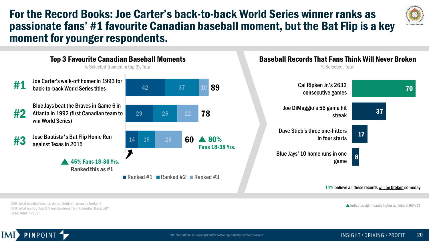### For the Record Books: Joe Carter's back-to-back World Series winner ranks as passionate fans' #1 favourite Canadian baseball moment, but the Bat Flip is a key moment for younger respondents.





Q39. What baseball records do you think will never be broken? Q40. What are your top 3 favourite moments in Canadian Baseball? Base: Total (n=904)

**PINPOINT** 

Indicates significantly higher vs. Total at 95% CI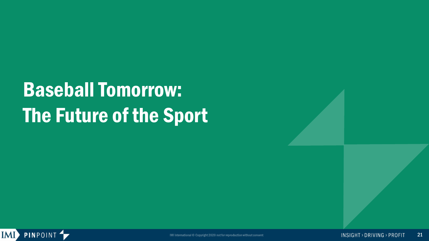# Baseball Tomorrow: The Future of the Sport

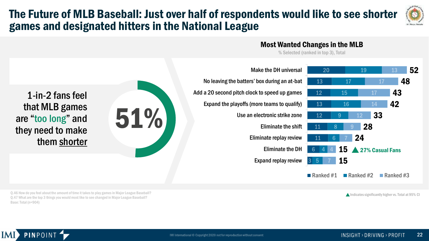### The Future of MLB Baseball: Just over half of respondents would like to see shorter games and designated hitters in the National League

Most Wanted Changes in the MLB

% Selected (ranked in top 3), Total



Q.46 How do you feel about the amount of time it takes to play games in Major League Baseball? Q.47 What are the top 3 things you would most like to see changed in Major League Baseball? Base: Total (n=904)

1-in-2 fans feel

that MLB games

are "too long" and

they need to make

them shorter

Indicates significantly higher vs. Total at 95% CI